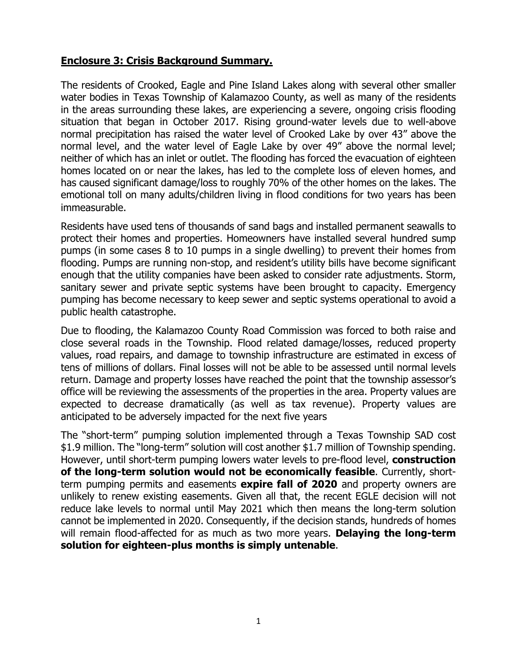## **Enclosure 3: Crisis Background Summary.**

The residents of Crooked, Eagle and Pine Island Lakes along with several other smaller water bodies in Texas Township of Kalamazoo County, as well as many of the residents in the areas surrounding these lakes, are experiencing a severe, ongoing crisis flooding situation that began in October 2017. Rising ground-water levels due to well-above normal precipitation has raised the water level of Crooked Lake by over 43" above the normal level, and the water level of Eagle Lake by over 49" above the normal level; neither of which has an inlet or outlet. The flooding has forced the evacuation of eighteen homes located on or near the lakes, has led to the complete loss of eleven homes, and has caused significant damage/loss to roughly 70% of the other homes on the lakes. The emotional toll on many adults/children living in flood conditions for two years has been immeasurable.

Residents have used tens of thousands of sand bags and installed permanent seawalls to protect their homes and properties. Homeowners have installed several hundred sump pumps (in some cases 8 to 10 pumps in a single dwelling) to prevent their homes from flooding. Pumps are running non-stop, and resident's utility bills have become significant enough that the utility companies have been asked to consider rate adjustments. Storm, sanitary sewer and private septic systems have been brought to capacity. Emergency pumping has become necessary to keep sewer and septic systems operational to avoid a public health catastrophe.

Due to flooding, the Kalamazoo County Road Commission was forced to both raise and close several roads in the Township. Flood related damage/losses, reduced property values, road repairs, and damage to township infrastructure are estimated in excess of tens of millions of dollars. Final losses will not be able to be assessed until normal levels return. Damage and property losses have reached the point that the township assessor's office will be reviewing the assessments of the properties in the area. Property values are expected to decrease dramatically (as well as tax revenue). Property values are anticipated to be adversely impacted for the next five years

The "short-term" pumping solution implemented through a Texas Township SAD cost \$1.9 million. The "long-term" solution will cost another \$1.7 million of Township spending. However, until short-term pumping lowers water levels to pre-flood level, **construction of the long-term solution would not be economically feasible**. Currently, shortterm pumping permits and easements **expire fall of 2020** and property owners are unlikely to renew existing easements. Given all that, the recent EGLE decision will not reduce lake levels to normal until May 2021 which then means the long-term solution cannot be implemented in 2020. Consequently, if the decision stands, hundreds of homes will remain flood-affected for as much as two more years. **Delaying the long-term solution for eighteen-plus months is simply untenable**.